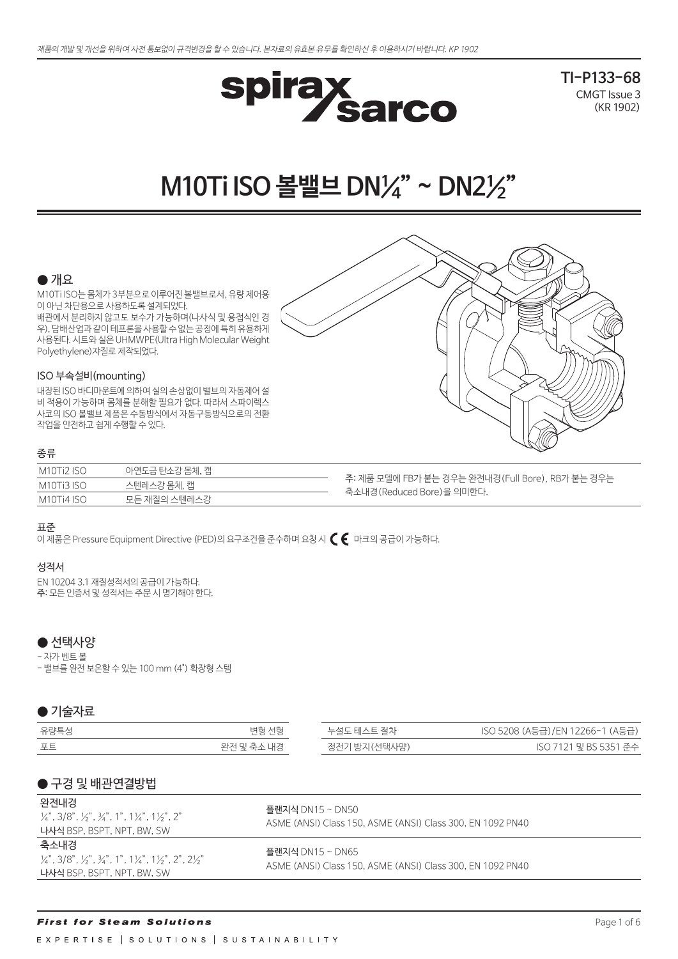

**TI-P133-68** CMGT Issue 3 (KR 1902)

# **M10Ti ISO 볼밸브 DN¼" ~ DN2½"**

### $\bullet$  개요

M10Ti ISO는 몸체가 3부분으로 이루어진 볼밸브로서, 유량 제어용 이 아닌 차단용으로 사용하도록 설계되었다. 배관에서 분리하지 않고도 보수가 가능하며(나사식 및 용접식인 경 우), 담배산업과 같이 테프론을 사용할 수 없는 공정에 특히 유용하게 사용된다. 시트와 실은 UHMWPE(Ultra High Molecular Weight Polyethylene)쟈질로 제작되었다.

### ISO 부속설비(mounting)

내장된 ISO 바디마운트에 의하여 실의 손상없이 밸브의 자동제어 설 비 적용이 가능하며 몸체를 분해할 필요가 없다. 따라서 스파이렉스 사코의 ISO 볼밸브 제품은 수동방식에서 자동구동방식으로의 전환 작업을 안전하고 쉽게 수행할 수 있다.

### 종류

| M10Ti2 ISO | 아연도금 탄소강 몸체, 캡 |                    |
|------------|----------------|--------------------|
| M10Ti3 ISO | 스텐레스강 몸체, 캡    | - <b>주:</b> 제품 모델( |
| M10Ti4 ISO | 모든 재질의 스텐레스강   | 축소내경(Rec           |

에 FB가 붙는 경우는 완전내경(Full Bore), RB가 붙는 경우는 duced Bore)을 의미한다.

### 표준

이 제품은 Pressure Equipment Directive (PED)의 요구조건을 준수하며 요청 시  $\bm{\zeta} \bm{\epsilon}$  마크의 공급이 가능하다.

### 성적서

EN 10204 3.1 재질성적서의 공급이 가능하다. 주: 모든 인증서 및 성적서는 주문 시 명기해야 한다.

### ● 선택사양

- 자가 벤트 볼

- 밸브를 완전 보온할 수 있는 100 mm (4") 확장형 스템

### ● 기술자료

| 유량특성 | 변형 선형      | 누설도 테스트 절차   | ISO 5208 (A등급)/EN 12266-1 (A등급) |
|------|------------|--------------|---------------------------------|
| 포트   | 완전 및 축소 내경 | 정전기 방지(선택사양) | ISO 7121 및 BS 5351 준수           |

### ● 구경 및 배관연결방법

| 완전내경<br>$\frac{1}{4}$ , 3/8", $\frac{1}{2}$ ", $\frac{3}{4}$ ", 1", 1 $\frac{1}{4}$ ", 1 $\frac{1}{2}$ ", 2"<br>나사식 BSP, BSPT, NPT, BW, SW | 플랜지식 DN15 ~ DN50<br>ASME (ANSI) Class 150, ASME (ANSI) Class 300, EN 1092 PN40 |
|--------------------------------------------------------------------------------------------------------------------------------------------|--------------------------------------------------------------------------------|
| 축소내경<br>$\frac{1}{4}$ , 3/8", 1/3", 3/4", 1", 11/4", 11/3", 2", 21/3"<br>나사식 BSP, BSPT, NPT, BW, SW                                        | 플랜지식 DN15 ~ DN65<br>ASME (ANSI) Class 150, ASME (ANSI) Class 300, EN 1092 PN40 |

### **First for Steam Solutions**

EXPERTISE | SOLUTIONS | SUSTAINABILITY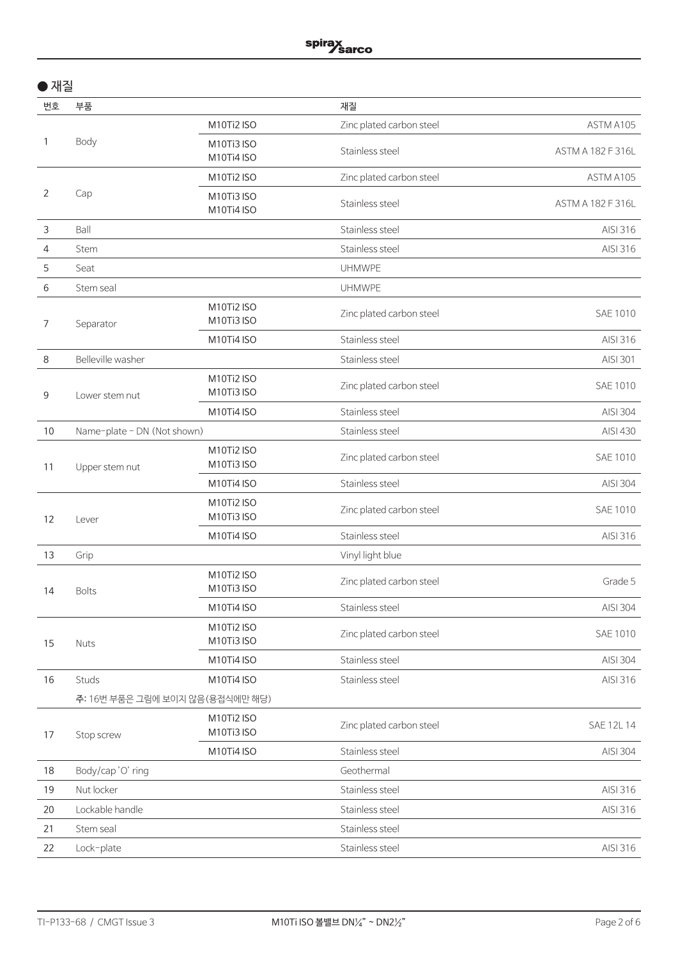| × |  |
|---|--|
|---|--|

| 번호 | 부품                              |                          | 재질                       |                   |
|----|---------------------------------|--------------------------|--------------------------|-------------------|
|    |                                 | M10Ti2 ISO               | Zinc plated carbon steel | ASTM A105         |
| 1  | Body                            | M10Ti3 ISO<br>M10Ti4 ISO | Stainless steel          | ASTM A 182 F 316L |
|    |                                 | M10Ti2 ISO               | Zinc plated carbon steel | ASTM A105         |
| 2  | Cap                             | M10Ti3 ISO<br>M10Ti4 ISO | Stainless steel          | ASTM A 182 F 316L |
| 3  | Ball                            |                          | Stainless steel          | AISI 316          |
| 4  | Stem                            |                          | Stainless steel          | AISI 316          |
| 5  | Seat                            |                          | <b>UHMWPE</b>            |                   |
| 6  | Stem seal                       |                          | <b>UHMWPE</b>            |                   |
| 7  | Separator                       | M10Ti2 ISO<br>M10Ti3 ISO | Zinc plated carbon steel | SAE 1010          |
|    |                                 | M10Ti4 ISO               | Stainless steel          | AISI 316          |
| 8  | Belleville washer               |                          | Stainless steel          | AISI 301          |
| 9  | Lower stem nut                  | M10Ti2 ISO<br>M10Ti3 ISO | Zinc plated carbon steel | SAE 1010          |
|    |                                 | M10Ti4 ISO               | Stainless steel          | AISI 304          |
| 10 | Name-plate - DN (Not shown)     |                          | Stainless steel          | AISI 430          |
| 11 | Upper stem nut                  | M10Ti2 ISO<br>M10Ti3 ISO | Zinc plated carbon steel | SAE 1010          |
|    |                                 | M10Ti4 ISO               | Stainless steel          | AISI 304          |
| 12 | Lever                           | M10Ti2 ISO<br>M10Ti3 ISO | Zinc plated carbon steel | SAE 1010          |
|    |                                 | M10Ti4 ISO               | Stainless steel          | AISI 316          |
| 13 | Grip                            |                          | Vinyl light blue         |                   |
| 14 | <b>Bolts</b>                    | M10Ti2 ISO<br>M10Ti3 ISO | Zinc plated carbon steel | Grade 5           |
|    |                                 | M10Ti4 ISO               | Stainless steel          | AISI 304          |
| 15 | Nuts                            | M10Ti2 ISO<br>M10Ti3 ISO | Zinc plated carbon steel | SAE 1010          |
|    |                                 | M10Ti4 ISO               | Stainless steel          | AISI 304          |
| 16 | Studs                           | M10Ti4 ISO               | Stainless steel          | AISI 316          |
|    | 주: 16번 부품은 그림에 보이지 않음(용접식에만 해당) |                          |                          |                   |
| 17 | Stop screw                      | M10Ti2 ISO<br>M10Ti3 ISO | Zinc plated carbon steel | SAE 12L 14        |
|    | M10Ti4 ISO                      | Stainless steel          | AISI 304                 |                   |
| 18 | Body/cap'O' ring                |                          | Geothermal               |                   |
| 19 | Nut locker                      |                          | Stainless steel          | AISI 316          |
| 20 | Lockable handle                 |                          | Stainless steel          | AISI 316          |
| 21 | Stem seal                       |                          | Stainless steel          |                   |
| 22 | Lock-plate                      |                          | Stainless steel          | AISI 316          |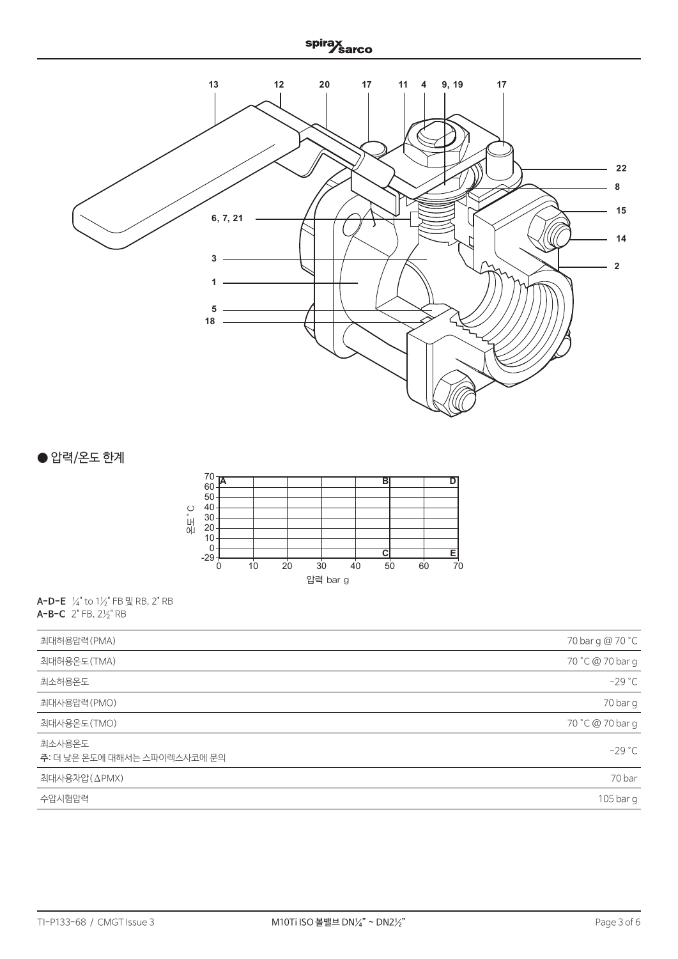

● 압력/온도 한계



**A-D-E** ¼" to 1½" FB 및 RB, 2" RB **A-B-C** 2" FB, 2½" RB

| 최대허용압력(PMA)                            | 70 bar g @ 70 °C |
|----------------------------------------|------------------|
| 최대허용온도(TMA)                            | 70 °C @ 70 bar g |
| 최소허용온도                                 | $-29 °C$         |
| 최대사용압력(PMO)                            | 70 bar g         |
| 최대사용온도(TMO)                            | 70 °C @ 70 bar g |
| 최소사용온도<br>주: 더 낮은 온도에 대해서는 스파이렉스사코에 문의 | $-29 °C$         |
| 최대사용차압(ΔPMX)                           | 70 bar           |
| 수압시험압력                                 | 105 bar g        |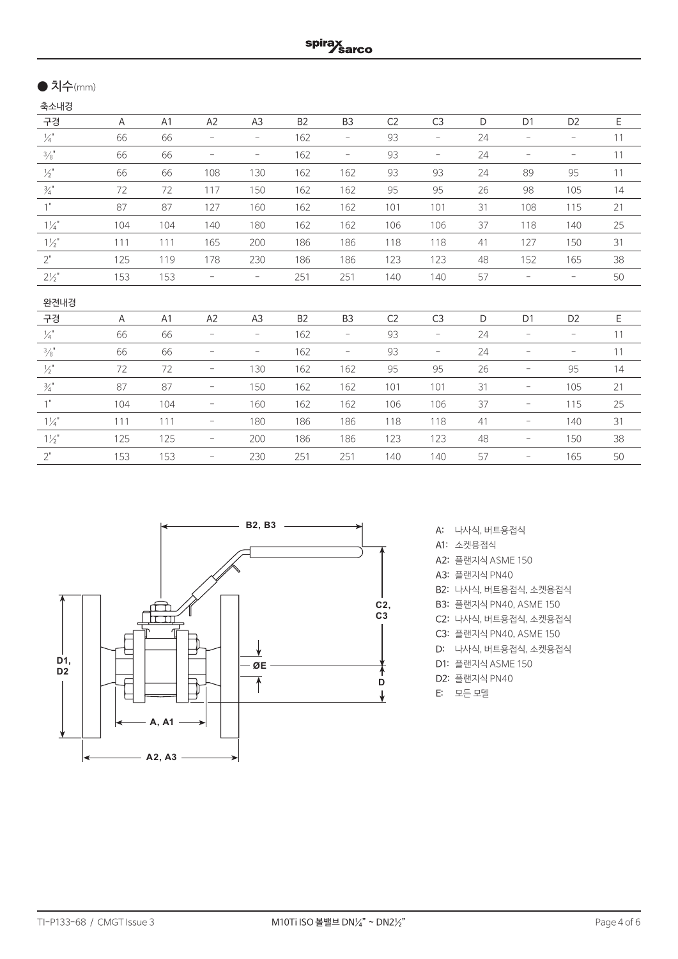# ● 치수(mm)

| 축소내경             |     |                |                          |                          |                |                          |                |                          |    |                          |                          |    |
|------------------|-----|----------------|--------------------------|--------------------------|----------------|--------------------------|----------------|--------------------------|----|--------------------------|--------------------------|----|
| 구경               | A   | A <sub>1</sub> | A <sub>2</sub>           | A <sub>3</sub>           | B <sub>2</sub> | B <sub>3</sub>           | C <sub>2</sub> | C <sub>3</sub>           | D  | D <sub>1</sub>           | D <sub>2</sub>           | Ε  |
| $\frac{1}{4}$    | 66  | 66             | $-$                      | $\overline{\phantom{a}}$ | 162            | $\overline{\phantom{a}}$ | 93             | $-$                      | 24 | $\overline{\phantom{a}}$ | $\overline{\phantom{a}}$ | 11 |
| 3/8"             | 66  | 66             | $\overline{\phantom{0}}$ | $\overline{\phantom{a}}$ | 162            | $\overline{\phantom{a}}$ | 93             | $\overline{\phantom{a}}$ | 24 | $\overline{\phantom{0}}$ | $\overline{\phantom{0}}$ | 11 |
| $\frac{1}{2}$    | 66  | 66             | 108                      | 130                      | 162            | 162                      | 93             | 93                       | 24 | 89                       | 95                       | 11 |
| $\frac{3}{4}$ "  | 72  | 72             | 117                      | 150                      | 162            | 162                      | 95             | 95                       | 26 | 98                       | 105                      | 14 |
| 1"               | 87  | 87             | 127                      | 160                      | 162            | 162                      | 101            | 101                      | 31 | 108                      | 115                      | 21 |
| $1\frac{1}{4}$   | 104 | 104            | 140                      | 180                      | 162            | 162                      | 106            | 106                      | 37 | 118                      | 140                      | 25 |
| $1\frac{1}{2}$   | 111 | 111            | 165                      | 200                      | 186            | 186                      | 118            | 118                      | 41 | 127                      | 150                      | 31 |
| 2"               | 125 | 119            | 178                      | 230                      | 186            | 186                      | 123            | 123                      | 48 | 152                      | 165                      | 38 |
| $2\frac{1}{2}$ " | 153 | 153            | $\overline{\phantom{0}}$ | $\overline{\phantom{a}}$ | 251            | 251                      | 140            | 140                      | 57 | $\qquad \qquad -$        | $\overline{\phantom{a}}$ | 50 |
| 완전내경             |     |                |                          |                          |                |                          |                |                          |    |                          |                          |    |
| 구경               | A   | A <sub>1</sub> | A <sub>2</sub>           | A3                       | B <sub>2</sub> | B <sub>3</sub>           | C <sub>2</sub> | C <sub>3</sub>           | D  | D <sub>1</sub>           | D <sub>2</sub>           | Ε  |
| $\frac{1}{4}$    | 66  | 66             | $\overline{\phantom{0}}$ | $\overline{\phantom{a}}$ | 162            | $\overline{\phantom{a}}$ | 93             | $-$                      | 24 | -                        | $\overline{\phantom{a}}$ | 11 |
| $\frac{3}{8}$    | 66  | 66             | $\overline{\phantom{a}}$ | $\qquad \qquad -$        | 162            | $\overline{\phantom{a}}$ | 93             | $\overline{\phantom{a}}$ | 24 | $\overline{\phantom{0}}$ | $\qquad \qquad -$        | 11 |
| $\frac{1}{2}$    | 72  | 72             | -                        | 130                      | 162            | 162                      | 95             | 95                       | 26 | $\overline{\phantom{0}}$ | 95                       | 14 |
| $\frac{3}{4}$ "  | 87  | 87             | $\overline{\phantom{a}}$ | 150                      | 162            | 162                      | 101            | 101                      | 31 | -                        | 105                      | 21 |
| 1"               | 104 | 104            | $\overline{\phantom{a}}$ | 160                      | 162            | 162                      | 106            | 106                      | 37 | $\overline{\phantom{a}}$ | 115                      | 25 |
| $1\frac{1}{4}$   | 111 | 111            | $\overline{\phantom{a}}$ | 180                      | 186            | 186                      | 118            | 118                      | 41 | $\overline{\phantom{0}}$ | 140                      | 31 |
| $1\frac{1}{2}$   | 125 | 125            | $\overline{\phantom{a}}$ | 200                      | 186            | 186                      | 123            | 123                      | 48 | -                        | 150                      | 38 |
| $2"$             | 153 | 153            | $\overline{\phantom{0}}$ | 230                      | 251            | 251                      | 140            | 140                      | 57 | -                        | 165                      | 50 |



- A: 나사식, 버트용접식
- A1: 소켓용접식
- A2: 플랜지식 ASME 150
- A3: 플랜지식 PN40
- B2: 나사식, 버트용접식, 소켓용접식
- B3: 플랜지식 PN40, ASME 150
- C2: 나사식, 버트용접식, 소켓용접식
- C3: 플랜지식 PN40, ASME 150
- D: 나사식, 버트용접식, 소켓용접식
- D1: 플랜지식 ASME 150
- D2: 플랜지식 PN40
- E: 모든 모델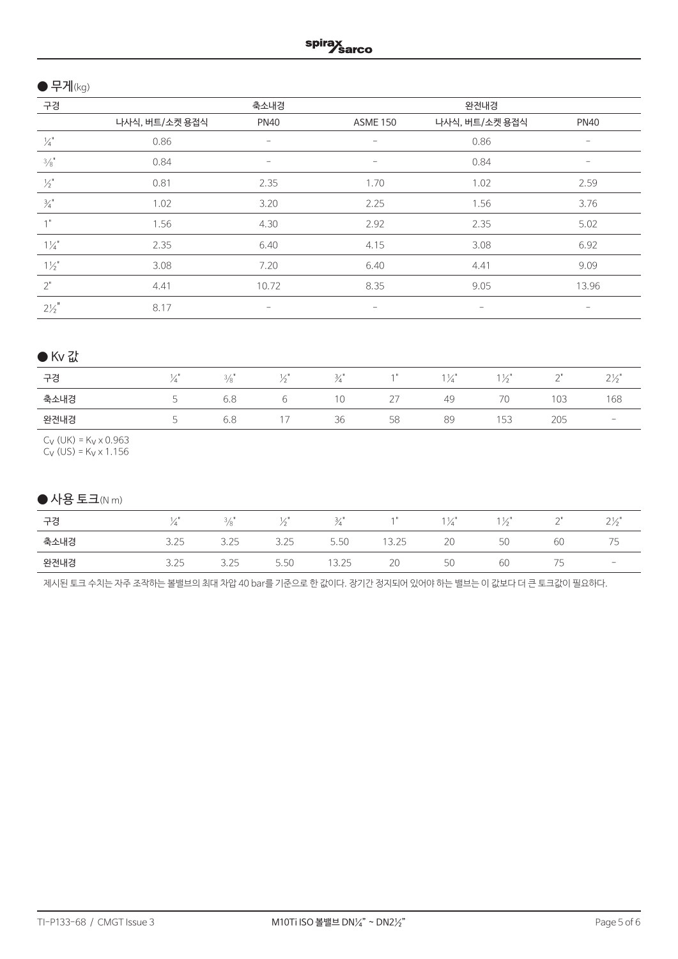# $\bullet$  무게(kg)

| 구경              |                | 축소내경                     |                          | 완전내경              |             |
|-----------------|----------------|--------------------------|--------------------------|-------------------|-------------|
|                 | 나사식, 버트/소켓 용접식 | <b>PN40</b>              | <b>ASME 150</b>          | 나사식, 버트/소켓 용접식    | <b>PN40</b> |
| $\frac{1}{4}$   | 0.86           |                          |                          | 0.86              |             |
| 3/8"            | 0.84           | $\overline{\phantom{a}}$ | $\overline{\phantom{0}}$ | 0.84              |             |
| $\frac{1}{2}$   | 0.81           | 2.35                     | 1.70                     | 1.02              | 2.59        |
| $\frac{3}{4}$ " | 1.02           | 3.20                     | 2.25                     | 1.56              | 3.76        |
| 1"              | 1.56           | 4.30                     | 2.92                     | 2.35              | 5.02        |
| $1\frac{1}{4}$  | 2.35           | 6.40                     | 4.15                     | 3.08              | 6.92        |
| $1\frac{1}{2}$  | 3.08           | 7.20                     | 6.40                     | 4.41              | 9.09        |
| 2"              | 4.41           | 10.72                    | 8.35                     | 9.05              | 13.96       |
| $2\frac{1}{2}$  | 8.17           | $\qquad \qquad -$        | $\qquad \qquad$          | $\qquad \qquad -$ | -           |

# ● Kv 값

| 구경   | 4                        | $\sim$<br>$\frac{3}{8}$ |                               | $\sim$ |             | 1⁄4 | 1/1<br>$\sim$ | $\sim$<br>$\overline{\phantom{a}}$ | $\sim$ 1<br>$\leftarrow$        |
|------|--------------------------|-------------------------|-------------------------------|--------|-------------|-----|---------------|------------------------------------|---------------------------------|
| 축소내경 |                          | 6.8                     |                               | 10     | $\sim$<br>∠ | 49  | 70            | 103                                | 168                             |
| 완전내경 | $\overline{\phantom{a}}$ | 6.8                     | $\overline{a}$ $\overline{a}$ | 36     | 58          | 89  | 153           | 205                                | $\hspace{0.1mm}-\hspace{0.1mm}$ |

 $C_V$  (UK) = K<sub>V</sub> x 0.963

Cv (US) = Kv x 1.156

# $\bigcirc$  사용 토크(N m)

| 구경   |             | -<br>$\frac{3}{8}$ | - 1            |                                  |                      | ' Д | $\sim$                                | $\sim$<br><u>_</u>             | $\sim$ 1<br>$\leftarrow$ |
|------|-------------|--------------------|----------------|----------------------------------|----------------------|-----|---------------------------------------|--------------------------------|--------------------------|
| 축소내경 | ノつに<br>J.ZJ | 3.25               | 375<br>ل ے . د | $\overline{\phantom{a}}$<br>5.5U | $\sim$<br>フト<br>しょとつ | 20  | $\overline{\phantom{0}}$<br>51<br>– U | 60                             | -                        |
| 완전내경 | 3.25        | 3.25               | 5.50           | 13.25                            | 20                   | 50  | ЮU                                    | $\overline{\phantom{a}}$<br>כ' | $\sim$                   |

제시된 토크 수치는 자주 조작하는 볼밸브의 최대 차압 40 bar를 기준으로 한 값이다. 장기간 정지되어 있어야 하는 밸브는 이 값보다 더 큰 토크값이 필요하다.